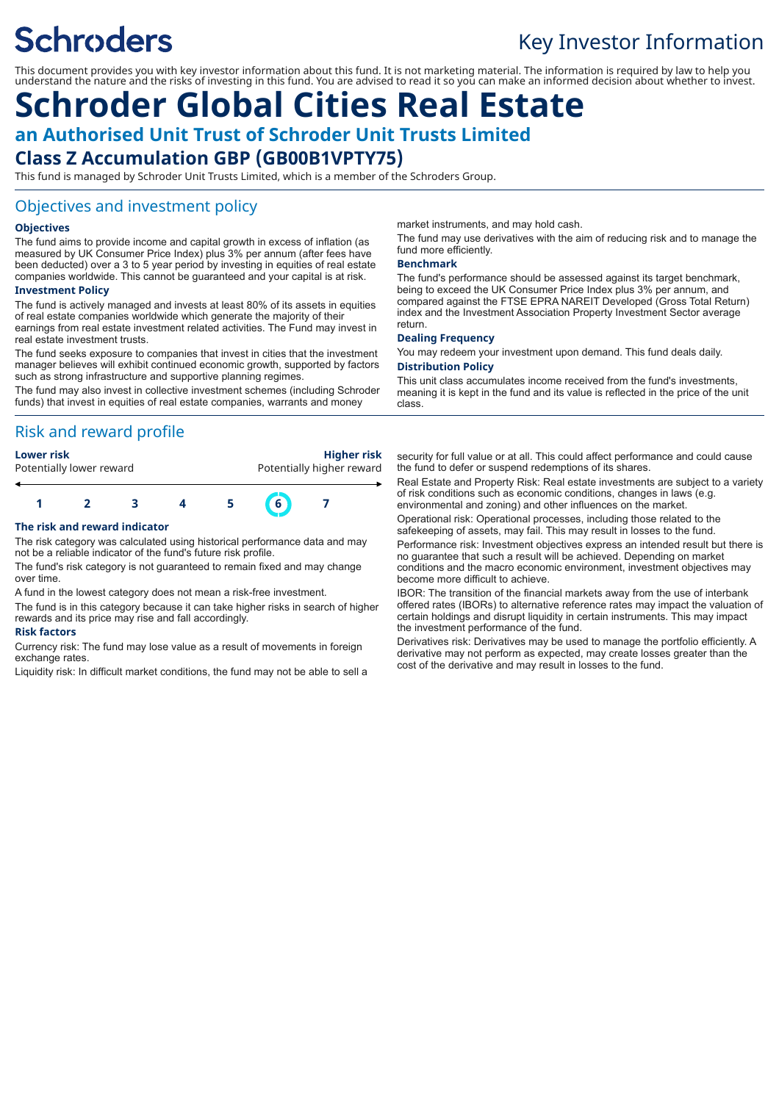# **Schroders**

# Key Investor Information

This document provides you with key investor information about this fund. It is not marketing material. The information is required by law to help you understand the nature and the risks of investing in this fund. You are advised to read it so you can make an informed decision about whether to invest.

# **Schroder Global Cities Real Estate an Authorised Unit Trust of Schroder Unit Trusts Limited Class Z Accumulation GBP (GB00B1VPTY75)**

This fund is managed by Schroder Unit Trusts Limited, which is a member of the Schroders Group.

### Objectives and investment policy

#### **Objectives**

The fund aims to provide income and capital growth in excess of inflation (as measured by UK Consumer Price Index) plus 3% per annum (after fees have been deducted) over a 3 to 5 year period by investing in equities of real estate companies worldwide. This cannot be guaranteed and your capital is at risk.

#### **Investment Policy**

The fund is actively managed and invests at least 80% of its assets in equities of real estate companies worldwide which generate the majority of their earnings from real estate investment related activities. The Fund may invest in real estate investment trusts.

The fund seeks exposure to companies that invest in cities that the investment manager believes will exhibit continued economic growth, supported by factors such as strong infrastructure and supportive planning regimes.

The fund may also invest in collective investment schemes (including Schroder funds) that invest in equities of real estate companies, warrants and money

### Risk and reward profile

| Lower risk               | <b>Higher risk</b>        |
|--------------------------|---------------------------|
| Potentially lower reward | Potentially higher reward |
|                          |                           |

# **1 2 3 4 5 6 7**

#### **The risk and reward indicator**

The risk category was calculated using historical performance data and may not be a reliable indicator of the fund's future risk profile.

The fund's risk category is not guaranteed to remain fixed and may change over time.

A fund in the lowest category does not mean a risk-free investment.

The fund is in this category because it can take higher risks in search of higher rewards and its price may rise and fall accordingly.

#### **Risk factors**

Currency risk: The fund may lose value as a result of movements in foreign exchange rates

Liquidity risk: In difficult market conditions, the fund may not be able to sell a

market instruments, and may hold cash.

The fund may use derivatives with the aim of reducing risk and to manage the fund more efficiently.

#### **Benchmark**

The fund's performance should be assessed against its target benchmark, being to exceed the UK Consumer Price Index plus 3% per annum, and compared against the FTSE EPRA NAREIT Developed (Gross Total Return) index and the Investment Association Property Investment Sector average return.

#### **Dealing Frequency**

You may redeem your investment upon demand. This fund deals daily. **Distribution Policy**

This unit class accumulates income received from the fund's investments, meaning it is kept in the fund and its value is reflected in the price of the unit class.

security for full value or at all. This could affect performance and could cause the fund to defer or suspend redemptions of its shares.

Real Estate and Property Risk: Real estate investments are subject to a variety of risk conditions such as economic conditions, changes in laws (e.g. environmental and zoning) and other influences on the market.

Operational risk: Operational processes, including those related to the safekeeping of assets, may fail. This may result in losses to the fund.

Performance risk: Investment objectives express an intended result but there is no guarantee that such a result will be achieved. Depending on market conditions and the macro economic environment, investment objectives may become more difficult to achieve.

IBOR: The transition of the financial markets away from the use of interbank offered rates (IBORs) to alternative reference rates may impact the valuation of certain holdings and disrupt liquidity in certain instruments. This may impact the investment performance of the fund.

Derivatives risk: Derivatives may be used to manage the portfolio efficiently. A derivative may not perform as expected, may create losses greater than the cost of the derivative and may result in losses to the fund.